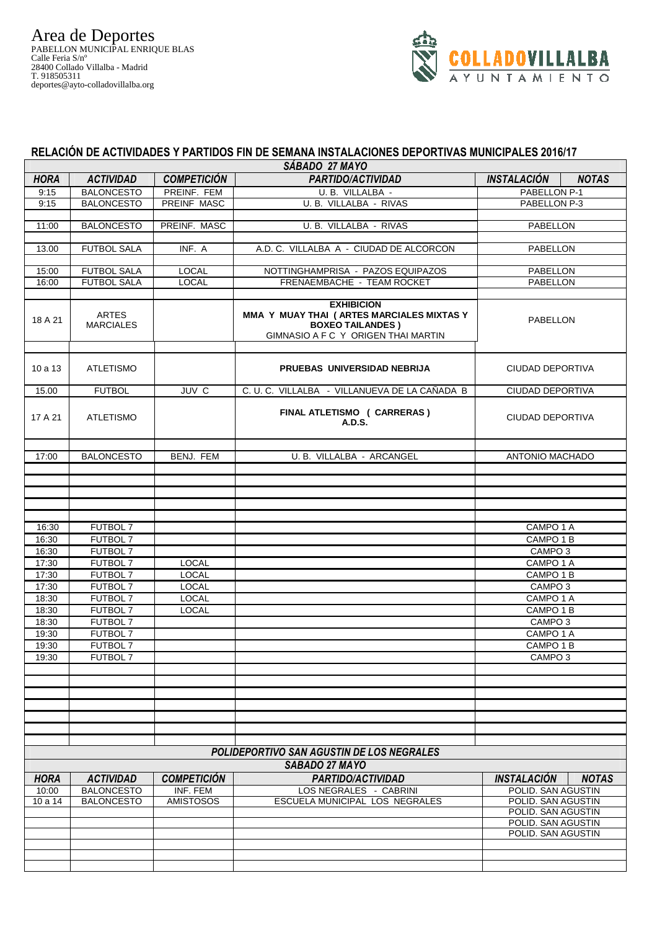

## **RELACIÓN DE ACTIVIDADES Y PARTIDOS FIN DE SEMANA INSTALACIONES DEPORTIVAS MUNICIPALES 2016/17**

| SÁBADO 27 MAYO |                                  |                    |                                                                                                                                   |                                          |  |  |  |  |  |
|----------------|----------------------------------|--------------------|-----------------------------------------------------------------------------------------------------------------------------------|------------------------------------------|--|--|--|--|--|
| <b>HORA</b>    | <b>ACTIVIDAD</b>                 | <b>COMPETICIÓN</b> | <b>PARTIDO/ACTIVIDAD</b>                                                                                                          | <b>INSTALACIÓN</b><br><b>NOTAS</b>       |  |  |  |  |  |
| 9:15           | <b>BALONCESTO</b>                | PREINF. FEM        | U.B. VILLALBA -                                                                                                                   | PABELLON P-1                             |  |  |  |  |  |
| 9:15           | <b>BALONCESTO</b>                | <b>PREINF MASC</b> | U.B. VILLALBA - RIVAS                                                                                                             | PABELLON P-3                             |  |  |  |  |  |
|                |                                  |                    |                                                                                                                                   |                                          |  |  |  |  |  |
| 11:00          | <b>BALONCESTO</b>                | PREINF. MASC       | U.B. VILLALBA - RIVAS                                                                                                             | PABELLON                                 |  |  |  |  |  |
| 13.00          | <b>FUTBOL SALA</b>               | INF. A             | A.D. C. VILLALBA A - CIUDAD DE ALCORCON                                                                                           | PABELLON                                 |  |  |  |  |  |
|                |                                  |                    |                                                                                                                                   |                                          |  |  |  |  |  |
| 15:00          | <b>FUTBOL SALA</b>               | <b>LOCAL</b>       | NOTTINGHAMPRISA - PAZOS EQUIPAZOS                                                                                                 | PABELLON                                 |  |  |  |  |  |
| 16:00          | <b>FUTBOL SALA</b>               | LOCAL              | FRENAEMBACHE - TEAM ROCKET                                                                                                        | PABELLON                                 |  |  |  |  |  |
| 18 A 21        | <b>ARTES</b><br><b>MARCIALES</b> |                    | <b>EXHIBICION</b><br>MMA Y MUAY THAI ( ARTES MARCIALES MIXTAS Y<br><b>BOXEO TAILANDES)</b><br>GIMNASIO A F C Y ORIGEN THAI MARTIN | PABELLON                                 |  |  |  |  |  |
| 10a13          | <b>ATLETISMO</b>                 |                    | PRUEBAS UNIVERSIDAD NEBRIJA                                                                                                       | CIUDAD DEPORTIVA                         |  |  |  |  |  |
| 15.00          | <b>FUTBOL</b>                    | JUV C              | C. U. C. VILLALBA - VILLANUEVA DE LA CAÑADA B                                                                                     | CIUDAD DEPORTIVA                         |  |  |  |  |  |
| 17 A 21        | <b>ATLETISMO</b>                 |                    | FINAL ATLETISMO ( CARRERAS )<br>A.D.S.                                                                                            | CIUDAD DEPORTIVA                         |  |  |  |  |  |
|                |                                  |                    |                                                                                                                                   |                                          |  |  |  |  |  |
| 17:00          | <b>BALONCESTO</b>                | BENJ. FEM          | U. B. VILLALBA - ARCANGEL                                                                                                         | ANTONIO MACHADO                          |  |  |  |  |  |
|                |                                  |                    |                                                                                                                                   |                                          |  |  |  |  |  |
|                |                                  |                    |                                                                                                                                   |                                          |  |  |  |  |  |
|                |                                  |                    |                                                                                                                                   |                                          |  |  |  |  |  |
|                |                                  |                    |                                                                                                                                   |                                          |  |  |  |  |  |
| 16:30          | <b>FUTBOL 7</b>                  |                    |                                                                                                                                   | CAMPO 1 A                                |  |  |  |  |  |
| 16:30          | <b>FUTBOL 7</b>                  |                    |                                                                                                                                   | CAMPO 1B                                 |  |  |  |  |  |
| 16:30          | FUTBOL 7                         |                    |                                                                                                                                   | CAMPO <sub>3</sub>                       |  |  |  |  |  |
| 17:30          | <b>FUTBOL 7</b>                  | LOCAL              |                                                                                                                                   | CAMPO 1 A                                |  |  |  |  |  |
| 17:30          | <b>FUTBOL 7</b>                  | <b>LOCAL</b>       |                                                                                                                                   | CAMPO 1B                                 |  |  |  |  |  |
| 17:30          | <b>FUTBOL 7</b>                  | <b>LOCAL</b>       |                                                                                                                                   | CAMPO <sub>3</sub>                       |  |  |  |  |  |
| 18:30          | <b>FUTBOL 7</b>                  | <b>LOCAL</b>       |                                                                                                                                   | CAMPO 1 A                                |  |  |  |  |  |
| 18:30          | <b>FUTBOL 7</b>                  | <b>LOCAL</b>       |                                                                                                                                   | CAMPO 1B                                 |  |  |  |  |  |
| 18:30          | <b>FUTBOL 7</b>                  |                    |                                                                                                                                   | CAMPO <sub>3</sub>                       |  |  |  |  |  |
| 19:30          | <b>FUTBOL 7</b>                  |                    |                                                                                                                                   | CAMPO 1 A                                |  |  |  |  |  |
| 19:30<br>19:30 | FUTBOL 7<br>FUTBOL 7             |                    |                                                                                                                                   | CAMPO 1B<br>CAMPO <sub>3</sub>           |  |  |  |  |  |
|                |                                  |                    |                                                                                                                                   |                                          |  |  |  |  |  |
|                |                                  |                    |                                                                                                                                   |                                          |  |  |  |  |  |
|                |                                  |                    |                                                                                                                                   |                                          |  |  |  |  |  |
|                |                                  |                    |                                                                                                                                   |                                          |  |  |  |  |  |
|                |                                  |                    |                                                                                                                                   |                                          |  |  |  |  |  |
|                |                                  |                    |                                                                                                                                   |                                          |  |  |  |  |  |
|                |                                  |                    |                                                                                                                                   |                                          |  |  |  |  |  |
|                |                                  |                    | POLIDEPORTIVO SAN AGUSTIN DE LOS NEGRALES                                                                                         |                                          |  |  |  |  |  |
| SABADO 27 MAYO |                                  |                    |                                                                                                                                   |                                          |  |  |  |  |  |
| <b>HORA</b>    | <b>ACTIVIDAD</b>                 | <b>COMPETICIÓN</b> | <b>PARTIDO/ACTIVIDAD</b>                                                                                                          | <b>INSTALACIÓN</b><br><b>NOTAS</b>       |  |  |  |  |  |
| 10:00          | <b>BALONCESTO</b>                | INF. FEM           | LOS NEGRALES - CABRINI                                                                                                            | POLID. SAN AGUSTIN                       |  |  |  |  |  |
| 10 a 14        | <b>BALONCESTO</b>                | <b>AMISTOSOS</b>   | ESCUELA MUNICIPAL LOS NEGRALES                                                                                                    | POLID. SAN AGUSTIN                       |  |  |  |  |  |
|                |                                  |                    |                                                                                                                                   | POLID. SAN AGUSTIN<br>POLID. SAN AGUSTIN |  |  |  |  |  |
|                |                                  |                    |                                                                                                                                   | POLID. SAN AGUSTIN                       |  |  |  |  |  |
|                |                                  |                    |                                                                                                                                   |                                          |  |  |  |  |  |
|                |                                  |                    |                                                                                                                                   |                                          |  |  |  |  |  |
|                |                                  |                    |                                                                                                                                   |                                          |  |  |  |  |  |